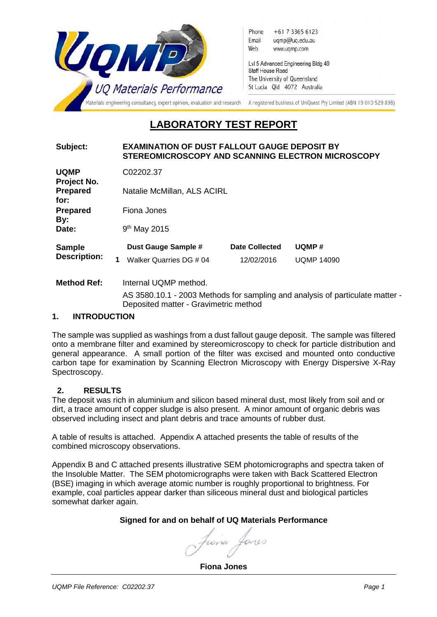

# **LABORATORY TEST REPORT**

#### **Subject: EXAMINATION OF DUST FALLOUT GAUGE DEPOSIT BY STEREOMICROSCOPY AND SCANNING ELECTRON MICROSCOPY**

| <b>UQMP</b>                            | C02202.37                           |                |                   |  |  |
|----------------------------------------|-------------------------------------|----------------|-------------------|--|--|
| Project No.<br><b>Prepared</b><br>for: | Natalie McMillan, ALS ACIRL         |                |                   |  |  |
| <b>Prepared</b>                        | Fiona Jones<br>$9th$ May 2015       |                |                   |  |  |
| By:<br>Date:                           |                                     |                |                   |  |  |
| <b>Sample</b>                          | Dust Gauge Sample #                 | Date Collected | UQMP#             |  |  |
| <b>Description:</b>                    | Walker Quarries DG # 04<br>1        | 12/02/2016     | <b>UQMP 14090</b> |  |  |
| <b>Method Ref:</b>                     | Internal UQMP method.<br>$\sqrt{2}$ |                | $\mathbf{r}$      |  |  |

AS 3580.10.1 - 2003 Methods for sampling and analysis of particulate matter - Deposited matter - Gravimetric method

#### **1. INTRODUCTION**

The sample was supplied as washings from a dust fallout gauge deposit. The sample was filtered onto a membrane filter and examined by stereomicroscopy to check for particle distribution and general appearance. A small portion of the filter was excised and mounted onto conductive carbon tape for examination by Scanning Electron Microscopy with Energy Dispersive X-Ray Spectroscopy.

# **2. RESULTS**

The deposit was rich in aluminium and silicon based mineral dust, most likely from soil and or dirt, a trace amount of copper sludge is also present. A minor amount of organic debris was observed including insect and plant debris and trace amounts of rubber dust.

A table of results is attached. Appendix A attached presents the table of results of the combined microscopy observations.

Appendix B and C attached presents illustrative SEM photomicrographs and spectra taken of the Insoluble Matter. The SEM photomicrographs were taken with Back Scattered Electron (BSE) imaging in which average atomic number is roughly proportional to brightness. For example, coal particles appear darker than siliceous mineral dust and biological particles somewhat darker again.

# **Signed for and on behalf of UQ Materials Performance**

fiora Lone

**Fiona Jones**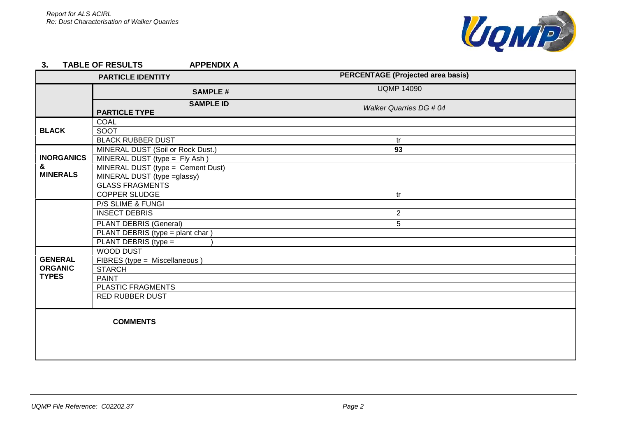

#### **3. TABLE OF RESULTS APPENDIX A**

| <b>PARTICLE IDENTITY</b>                         |                                          | <b>PERCENTAGE (Projected area basis)</b> |
|--------------------------------------------------|------------------------------------------|------------------------------------------|
|                                                  | <b>SAMPLE#</b>                           | <b>UQMP 14090</b>                        |
|                                                  | <b>SAMPLE ID</b><br><b>PARTICLE TYPE</b> | Walker Quarries DG # 04                  |
|                                                  | <b>COAL</b>                              |                                          |
| <b>BLACK</b>                                     | SOOT                                     |                                          |
|                                                  | <b>BLACK RUBBER DUST</b>                 | tr                                       |
|                                                  | MINERAL DUST (Soil or Rock Dust.)        | 93                                       |
| <b>INORGANICS</b>                                | MINERAL DUST (type = Fly Ash)            |                                          |
| &                                                | MINERAL DUST (type = Cement Dust)        |                                          |
| <b>MINERALS</b>                                  | MINERAL DUST (type = glassy)             |                                          |
|                                                  | <b>GLASS FRAGMENTS</b>                   |                                          |
|                                                  | COPPER SLUDGE                            | tr                                       |
|                                                  | P/S SLIME & FUNGI                        |                                          |
|                                                  | <b>INSECT DEBRIS</b>                     | $\overline{2}$                           |
|                                                  | PLANT DEBRIS (General)                   | 5                                        |
|                                                  | PLANT DEBRIS (type = plant char)         |                                          |
|                                                  | PLANT DEBRIS (type =                     |                                          |
|                                                  | WOOD DUST                                |                                          |
| <b>GENERAL</b><br><b>ORGANIC</b><br><b>TYPES</b> | FIBRES (type = Miscellaneous)            |                                          |
|                                                  | <b>STARCH</b>                            |                                          |
|                                                  | <b>PAINT</b>                             |                                          |
|                                                  | PLASTIC FRAGMENTS                        |                                          |
|                                                  | <b>RED RUBBER DUST</b>                   |                                          |
| <b>COMMENTS</b>                                  |                                          |                                          |
|                                                  |                                          |                                          |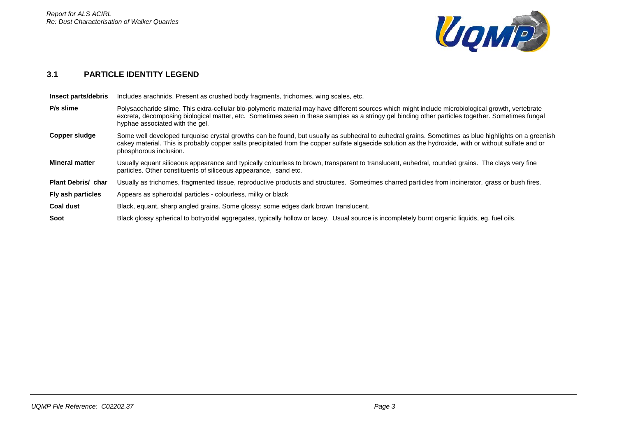

### **3.1 PARTICLE IDENTITY LEGEND**

| Insect parts/debris       | Includes arachnids. Present as crushed body fragments, trichomes, wing scales, etc.                                                                                                                                                                                                                                                       |  |  |
|---------------------------|-------------------------------------------------------------------------------------------------------------------------------------------------------------------------------------------------------------------------------------------------------------------------------------------------------------------------------------------|--|--|
| P/s slime                 | Polysaccharide slime. This extra-cellular bio-polymeric material may have different sources which might include microbiological growth, vertebrate<br>excreta, decomposing biological matter, etc. Sometimes seen in these samples as a stringy gel binding other particles together. Sometimes fungal<br>hyphae associated with the gel. |  |  |
| Copper sludge             | Some well developed turquoise crystal growths can be found, but usually as subhedral to euhedral grains. Sometimes as blue highlights on a greenish<br>cakey material. This is probably copper salts precipitated from the copper sulfate algaecide solution as the hydroxide, with or without sulfate and or<br>phosphorous inclusion.   |  |  |
| <b>Mineral matter</b>     | Usually equant siliceous appearance and typically colourless to brown, transparent to translucent, euhedral, rounded grains. The clays very fine<br>particles. Other constituents of siliceous appearance, sand etc.                                                                                                                      |  |  |
| <b>Plant Debris/ char</b> | Usually as trichomes, fragmented tissue, reproductive products and structures. Sometimes charred particles from incinerator, grass or bush fires.                                                                                                                                                                                         |  |  |
| Fly ash particles         | Appears as spheroidal particles - colourless, milky or black                                                                                                                                                                                                                                                                              |  |  |
| <b>Coal dust</b>          | Black, equant, sharp angled grains. Some glossy; some edges dark brown translucent.                                                                                                                                                                                                                                                       |  |  |
| Soot                      | Black glossy spherical to botryoidal aggregates, typically hollow or lacey. Usual source is incompletely burnt organic liquids, eg. fuel oils.                                                                                                                                                                                            |  |  |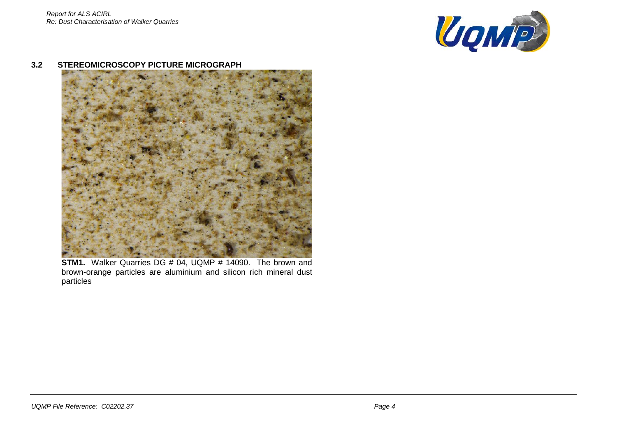

#### **3.2 STEREOMICROSCOPY PICTURE MICROGRAPH**



**STM1.** Walker Quarries DG # 04, UQMP # 14090. The brown and brown-orange particles are aluminium and silicon rich mineral dust particles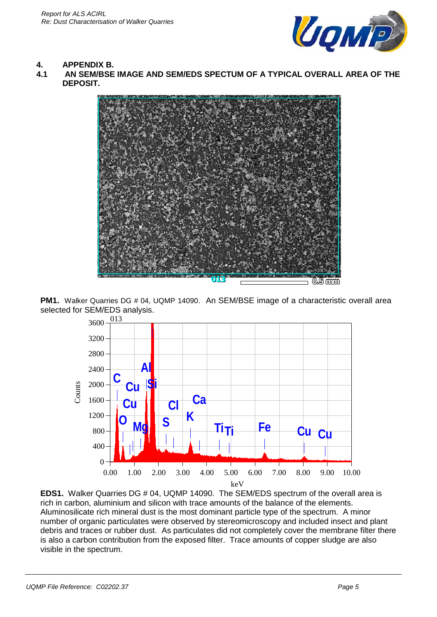

# **4. APPENDIX B.**

**4.1 AN SEM/BSE IMAGE AND SEM/EDS SPECTUM OF A TYPICAL OVERALL AREA OF THE DEPOSIT.**



**PM1.** Walker Quarries DG # 04, UQMP 14090. An SEM/BSE image of a characteristic overall area selected for SEM/EDS analysis.



**EDS1.** Walker Quarries DG # 04, UQMP 14090. The SEM/EDS spectrum of the overall area is rich in carbon, aluminium and silicon with trace amounts of the balance of the elements. Aluminosilicate rich mineral dust is the most dominant particle type of the spectrum. A minor number of organic particulates were observed by stereomicroscopy and included insect and plant debris and traces or rubber dust. As particulates did not completely cover the membrane filter there is also a carbon contribution from the exposed filter. Trace amounts of copper sludge are also visible in the spectrum.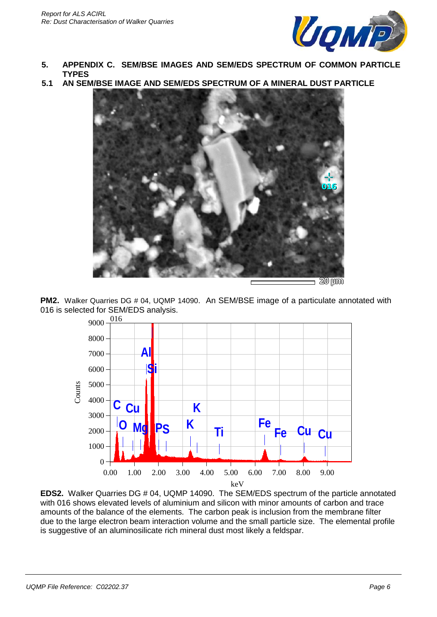

- **5. APPENDIX C. SEM/BSE IMAGES AND SEM/EDS SPECTRUM OF COMMON PARTICLE TYPES**
- **5.1 AN SEM/BSE IMAGE AND SEM/EDS SPECTRUM OF A MINERAL DUST PARTICLE**



**PM2.** Walker Quarries DG # 04, UQMP 14090. An SEM/BSE image of a particulate annotated with 016 is selected for SEM/EDS analysis.



**EDS2.** Walker Quarries DG # 04, UQMP 14090. The SEM/EDS spectrum of the particle annotated with 016 shows elevated levels of aluminium and silicon with minor amounts of carbon and trace amounts of the balance of the elements. The carbon peak is inclusion from the membrane filter due to the large electron beam interaction volume and the small particle size. The elemental profile is suggestive of an aluminosilicate rich mineral dust most likely a feldspar.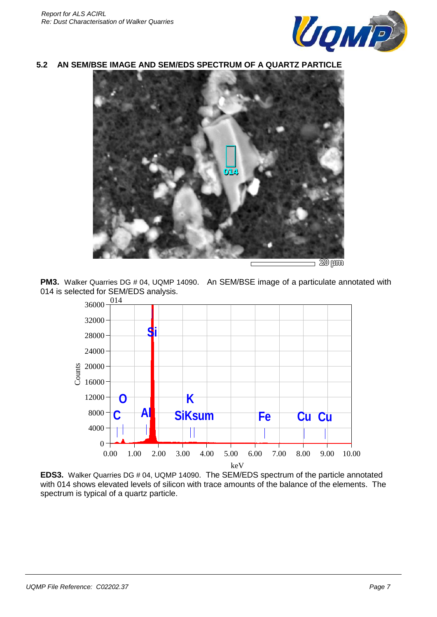

#### **5.2 AN SEM/BSE IMAGE AND SEM/EDS SPECTRUM OF A QUARTZ PARTICLE**



**PM3.** Walker Quarries DG # 04, UQMP 14090. An SEM/BSE image of a particulate annotated with 014 is selected for SEM/EDS analysis.<br> $\frac{0.0000}{0.00000}$ 



**EDS3.** Walker Quarries DG # 04, UQMP 14090. The SEM/EDS spectrum of the particle annotated with 014 shows elevated levels of silicon with trace amounts of the balance of the elements. The spectrum is typical of a quartz particle.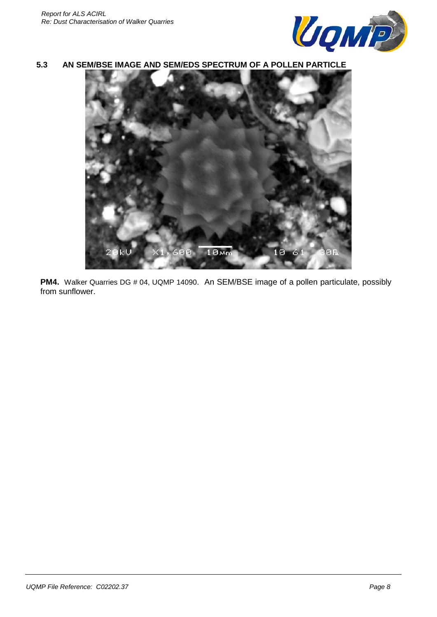

**5.3 AN SEM/BSE IMAGE AND SEM/EDS SPECTRUM OF A POLLEN PARTICLE**



**PM4.** Walker Quarries DG # 04, UQMP 14090. An SEM/BSE image of a pollen particulate, possibly from sunflower.